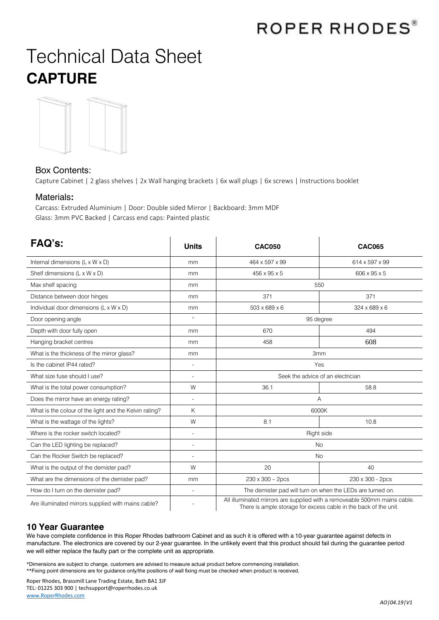# ROPER RHODES®

# Technical Data Sheet **CAPTURE**



### Box Contents:

Capture Cabinet | 2 glass shelves | 2x Wall hanging brackets | 6x wall plugs | 6x screws | Instructions booklet

#### Materials**:**

Carcass: Extruded Aluminium | Door: Double sided Mirror | Backboard: 3mm MDF Glass: 3mm PVC Backed | Carcass end caps: Painted plastic

| FAQ's:                                                 | <b>Units</b>             | <b>CAC050</b>                                                                                                                                 | <b>CAC065</b>    |
|--------------------------------------------------------|--------------------------|-----------------------------------------------------------------------------------------------------------------------------------------------|------------------|
| Internal dimensions $(L \times W \times D)$            | mm                       | 464 x 597 x 99                                                                                                                                | 614 x 597 x 99   |
| Shelf dimensions (L x W x D)                           | mm                       | 456 x 95 x 5                                                                                                                                  | 606 x 95 x 5     |
| Max shelf spacing                                      | mm                       | 550                                                                                                                                           |                  |
| Distance between door hinges                           | mm                       | 371                                                                                                                                           | 371              |
| Individual door dimensions (L x W x D)                 | mm                       | $503 \times 689 \times 6$                                                                                                                     | 324 x 689 x 6    |
| Door opening angle                                     | $\circ$                  | 95 degree                                                                                                                                     |                  |
| Depth with door fully open                             | mm                       | 670                                                                                                                                           | 494              |
| Hanging bracket centres                                | mm                       | 458                                                                                                                                           | 608              |
| What is the thickness of the mirror glass?             | mm                       | 3 <sub>mm</sub>                                                                                                                               |                  |
| Is the cabinet IP44 rated?                             |                          | Yes                                                                                                                                           |                  |
| What size fuse should I use?                           | $\overline{\phantom{a}}$ | Seek the advice of an electrician                                                                                                             |                  |
| What is the total power consumption?                   | W                        | 36.1                                                                                                                                          | 58.8             |
| Does the mirror have an energy rating?                 |                          | Α                                                                                                                                             |                  |
| What is the colour of the light and the Kelvin rating? | K                        | 6000K                                                                                                                                         |                  |
| What is the wattage of the lights?                     | W                        | 8.1                                                                                                                                           | 10.8             |
| Where is the rocker switch located?                    |                          | Right side                                                                                                                                    |                  |
| Can the LED lighting be replaced?                      |                          | <b>No</b>                                                                                                                                     |                  |
| Can the Rocker Switch be replaced?                     |                          | <b>No</b>                                                                                                                                     |                  |
| What is the output of the demister pad?                | W                        | 20                                                                                                                                            | 40               |
| What are the dimensions of the demister pad?           | mm                       | $230 \times 300 - 2pcs$                                                                                                                       | 230 x 300 - 2pcs |
| How do I turn on the demister pad?                     | L,                       | The demister pad will turn on when the LEDs are turned on.                                                                                    |                  |
| Are illuminated mirrors supplied with mains cable?     |                          | All illuminated mirrors are supplied with a removeable 500mm mains cable.<br>There is ample storage for excess cable in the back of the unit. |                  |

### **10 Year Guarantee**

We have complete confidence in this Roper Rhodes bathroom Cabinet and as such it is offered with a 10-year guarantee against defects in manufacture. The electronics are covered by our 2-year guarantee. In the unlikely event that this product should fail during the guarantee period we will either replace the faulty part or the complete unit as appropriate.

\*Dimensions are subject to change, customers are advised to measure actual product before commencing installation. \*\*Fixing point dimensions are for guidance only/the positions of wall fixing must be checked when product is received.

Roper Rhodes, Brassmill Lane Trading Estate, Bath BA1 3JF TEL: 01225 303 900 | techsupport@roperrhodes.co.uk [www.RoperRhodes.com](http://www.roperrhodes.com/)